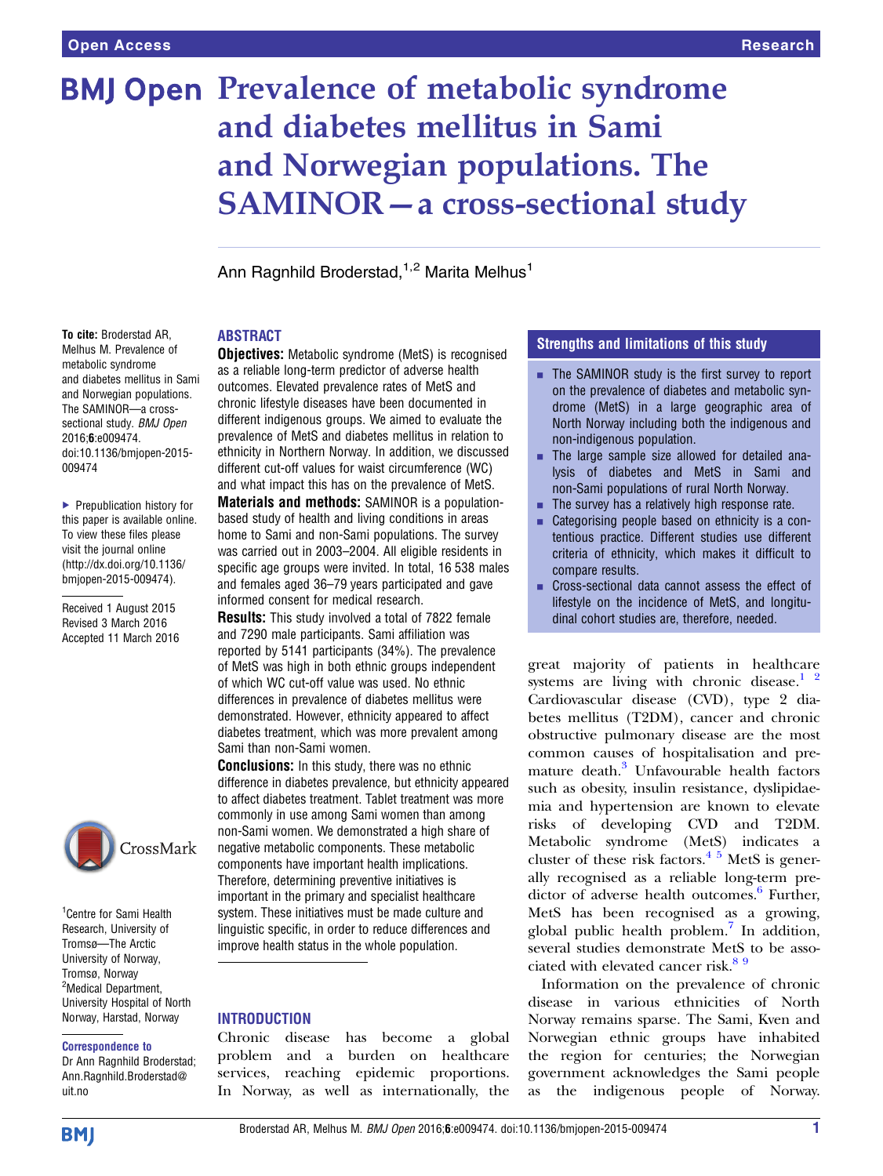# **BMJ Open Prevalence of metabolic syndrome** and diabetes mellitus in Sami and Norwegian populations. The SAMINOR—a cross-sectional study

Ann Ragnhild Broderstad, <sup>1,2</sup> Marita Melhus<sup>1</sup>

#### ABSTRACT

To cite: Broderstad AR, Melhus M. Prevalence of metabolic syndrome and diabetes mellitus in Sami and Norwegian populations. The SAMINOR—a crosssectional study. **BMJ Open** 2016;6:e009474. doi:10.1136/bmjopen-2015- 009474

▶ Prepublication history for this paper is available online. To view these files please visit the journal online [\(http://dx.doi.org/10.1136/](http://dx.doi.org/10.1136/bmjopen-2015-009474) [bmjopen-2015-009474](http://dx.doi.org/10.1136/bmjopen-2015-009474)).

Received 1 August 2015 Revised 3 March 2016 Accepted 11 March 2016



<sup>1</sup> Centre for Sami Health Research, University of Tromsø—The Arctic University of Norway, Tromsø, Norway <sup>2</sup>Medical Department, University Hospital of North Norway, Harstad, Norway

#### Correspondence to

Dr Ann Ragnhild Broderstad; Ann.Ragnhild.Broderstad@ uit.no

**Objectives:** Metabolic syndrome (MetS) is recognised as a reliable long-term predictor of adverse health outcomes. Elevated prevalence rates of MetS and chronic lifestyle diseases have been documented in different indigenous groups. We aimed to evaluate the prevalence of MetS and diabetes mellitus in relation to ethnicity in Northern Norway. In addition, we discussed different cut-off values for waist circumference (WC) and what impact this has on the prevalence of MetS.

Materials and methods: SAMINOR is a populationbased study of health and living conditions in areas home to Sami and non-Sami populations. The survey was carried out in 2003–2004. All eligible residents in specific age groups were invited. In total, 16 538 males and females aged 36–79 years participated and gave informed consent for medical research.

**Results:** This study involved a total of 7822 female and 7290 male participants. Sami affiliation was reported by 5141 participants (34%). The prevalence of MetS was high in both ethnic groups independent of which WC cut-off value was used. No ethnic differences in prevalence of diabetes mellitus were demonstrated. However, ethnicity appeared to affect diabetes treatment, which was more prevalent among Sami than non-Sami women.

Conclusions: In this study, there was no ethnic difference in diabetes prevalence, but ethnicity appeared to affect diabetes treatment. Tablet treatment was more commonly in use among Sami women than among non-Sami women. We demonstrated a high share of negative metabolic components. These metabolic components have important health implications. Therefore, determining preventive initiatives is important in the primary and specialist healthcare system. These initiatives must be made culture and linguistic specific, in order to reduce differences and improve health status in the whole population.

#### **INTRODUCTION**

Chronic disease has become a global problem and a burden on healthcare services, reaching epidemic proportions. In Norway, as well as internationally, the

#### Strengths and limitations of this study

- **EXTERMINOR STARKS THE SAMINOR STARKS** is the first survey to report on the prevalence of diabetes and metabolic syndrome (MetS) in a large geographic area of North Norway including both the indigenous and non-indigenous population.
- **EXECUTE:** The large sample size allowed for detailed analysis of diabetes and MetS in Sami and non-Sami populations of rural North Norway.
- $\blacksquare$  The survey has a relatively high response rate.
- $\blacksquare$  Categorising people based on ethnicity is a contentious practice. Different studies use different criteria of ethnicity, which makes it difficult to compare results.
- **EXECT** Cross-sectional data cannot assess the effect of lifestyle on the incidence of MetS, and longitudinal cohort studies are, therefore, needed.

great majority of patients in healthcare systems are living with chronic disease. $12$ Cardiovascular disease (CVD), type 2 diabetes mellitus (T2DM), cancer and chronic obstructive pulmonary disease are the most common causes of hospitalisation and pre-mature death.<sup>[3](#page-6-0)</sup> Unfavourable health factors such as obesity, insulin resistance, dyslipidaemia and hypertension are known to elevate risks of developing CVD and T2DM. Metabolic syndrome (MetS) indicates a cluster of these risk factors. $4\frac{1}{2}$  MetS is generally recognised as a reliable long-term pre-dictor of adverse health outcomes.<sup>[6](#page-6-0)</sup> Further, MetS has been recognised as a growing, global public health problem[.7](#page-6-0) In addition, several studies demonstrate MetS to be associated with elevated cancer risk.<sup>89</sup>

Information on the prevalence of chronic disease in various ethnicities of North Norway remains sparse. The Sami, Kven and Norwegian ethnic groups have inhabited the region for centuries; the Norwegian government acknowledges the Sami people as the indigenous people of Norway.

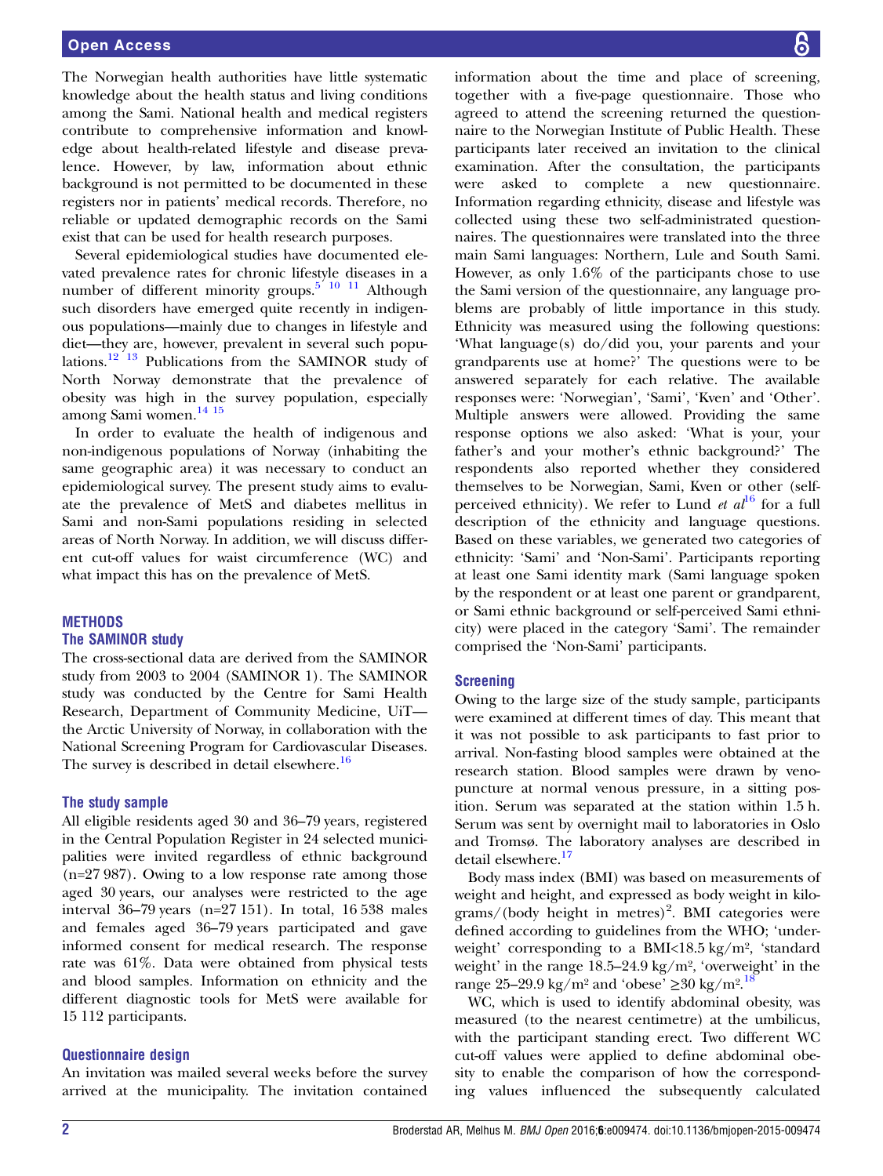The Norwegian health authorities have little systematic knowledge about the health status and living conditions among the Sami. National health and medical registers contribute to comprehensive information and knowledge about health-related lifestyle and disease prevalence. However, by law, information about ethnic background is not permitted to be documented in these registers nor in patients' medical records. Therefore, no reliable or updated demographic records on the Sami exist that can be used for health research purposes.

Several epidemiological studies have documented elevated prevalence rates for chronic lifestyle diseases in a number of different minority groups. $5 \times 10^{-11}$  Although such disorders have emerged quite recently in indigenous populations—mainly due to changes in lifestyle and diet—they are, however, prevalent in several such popu-lations.<sup>[12](#page-6-0) [13](#page-7-0)</sup> Publications from the SAMINOR study of North Norway demonstrate that the prevalence of obesity was high in the survey population, especially among Sami women.[14 15](#page-7-0)

In order to evaluate the health of indigenous and non-indigenous populations of Norway (inhabiting the same geographic area) it was necessary to conduct an epidemiological survey. The present study aims to evaluate the prevalence of MetS and diabetes mellitus in Sami and non-Sami populations residing in selected areas of North Norway. In addition, we will discuss different cut-off values for waist circumference (WC) and what impact this has on the prevalence of MetS.

### **METHODS**

#### The SAMINOR study

The cross-sectional data are derived from the SAMINOR study from 2003 to 2004 (SAMINOR 1). The SAMINOR study was conducted by the Centre for Sami Health Research, Department of Community Medicine, UiT the Arctic University of Norway, in collaboration with the National Screening Program for Cardiovascular Diseases. The survey is described in detail elsewhere.<sup>[16](#page-7-0)</sup>

#### The study sample

All eligible residents aged 30 and 36–79 years, registered in the Central Population Register in 24 selected municipalities were invited regardless of ethnic background (n=27 987). Owing to a low response rate among those aged 30 years, our analyses were restricted to the age interval 36–79 years (n=27 151). In total, 16 538 males and females aged 36–79 years participated and gave informed consent for medical research. The response rate was 61%. Data were obtained from physical tests and blood samples. Information on ethnicity and the different diagnostic tools for MetS were available for 15 112 participants.

#### Questionnaire design

An invitation was mailed several weeks before the survey arrived at the municipality. The invitation contained

information about the time and place of screening, together with a five-page questionnaire. Those who agreed to attend the screening returned the questionnaire to the Norwegian Institute of Public Health. These participants later received an invitation to the clinical examination. After the consultation, the participants were asked to complete a new questionnaire. Information regarding ethnicity, disease and lifestyle was collected using these two self-administrated questionnaires. The questionnaires were translated into the three main Sami languages: Northern, Lule and South Sami. However, as only 1.6% of the participants chose to use the Sami version of the questionnaire, any language problems are probably of little importance in this study. Ethnicity was measured using the following questions: 'What language(s) do/did you, your parents and your grandparents use at home?' The questions were to be answered separately for each relative. The available responses were: 'Norwegian', 'Sami', 'Kven' and 'Other'. Multiple answers were allowed. Providing the same response options we also asked: 'What is your, your father's and your mother's ethnic background?' The respondents also reported whether they considered themselves to be Norwegian, Sami, Kven or other (selfperceived ethnicity). We refer to Lund *et al*<sup>[16](#page-7-0)</sup> for a full description of the ethnicity and language questions. Based on these variables, we generated two categories of ethnicity: 'Sami' and 'Non-Sami'. Participants reporting at least one Sami identity mark (Sami language spoken by the respondent or at least one parent or grandparent, or Sami ethnic background or self-perceived Sami ethnicity) were placed in the category 'Sami'. The remainder comprised the 'Non-Sami' participants.

#### **Screening**

Owing to the large size of the study sample, participants were examined at different times of day. This meant that it was not possible to ask participants to fast prior to arrival. Non-fasting blood samples were obtained at the research station. Blood samples were drawn by venopuncture at normal venous pressure, in a sitting position. Serum was separated at the station within 1.5 h. Serum was sent by overnight mail to laboratories in Oslo and Tromsø. The laboratory analyses are described in detail elsewhere.<sup>[17](#page-7-0)</sup>

Body mass index (BMI) was based on measurements of weight and height, and expressed as body weight in kilo $grams/(body$  height in metres)<sup>2</sup>. BMI categories were defined according to guidelines from the WHO; 'underweight' corresponding to a BMI<18.5 kg/m², 'standard weight' in the range 18.5–24.9 kg/m², 'overweight' in the range 25–29.9 kg/m<sup>2</sup> and 'obese' ≥30 kg/m<sup>2</sup>.<sup>[18](#page-7-0)</sup>

WC, which is used to identify abdominal obesity, was measured (to the nearest centimetre) at the umbilicus, with the participant standing erect. Two different WC cut-off values were applied to define abdominal obesity to enable the comparison of how the corresponding values influenced the subsequently calculated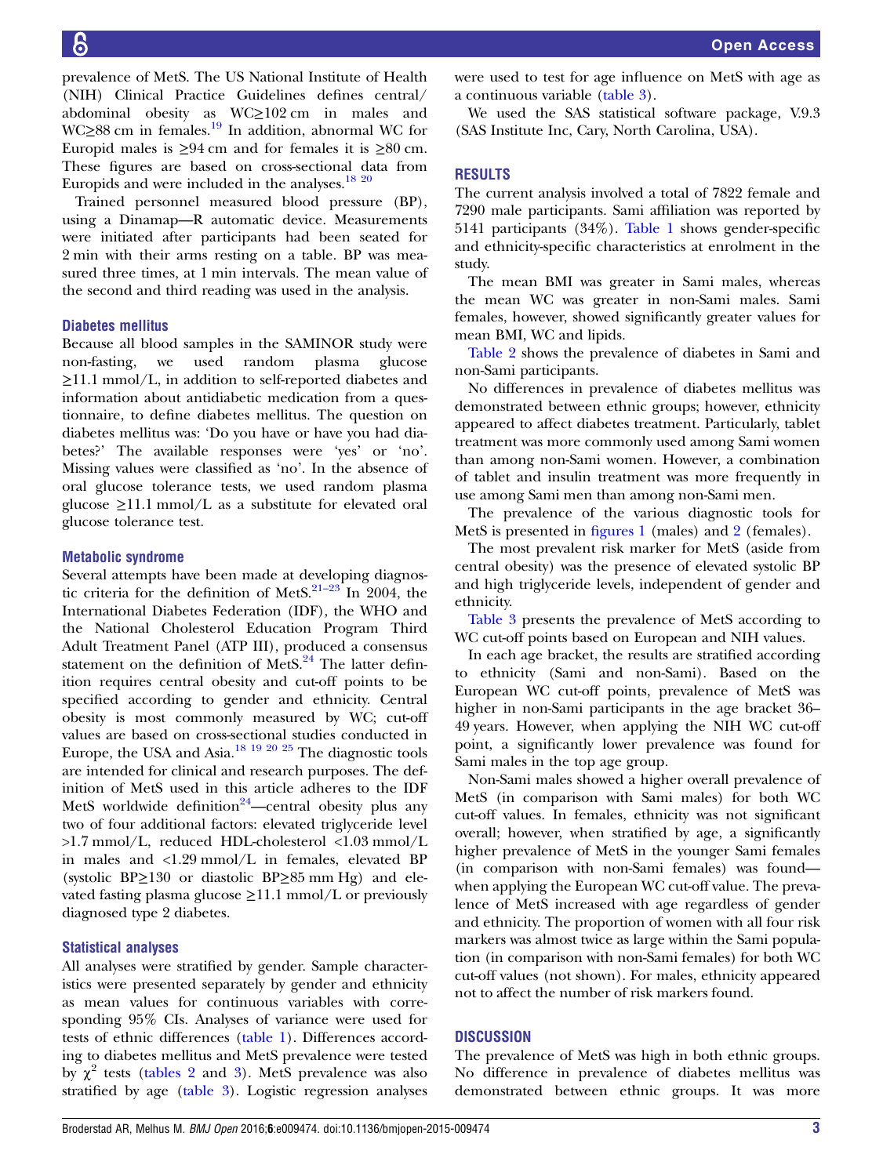prevalence of MetS. The US National Institute of Health (NIH) Clinical Practice Guidelines defines central/ abdominal obesity as WC≥102 cm in males and WC≥88 cm in females.<sup>[19](#page-7-0)</sup> In addition, abnormal WC for Europid males is  $\geq 94$  cm and for females it is  $\geq 80$  cm. These figures are based on cross-sectional data from Europids and were included in the analyses. $^{18}$   $^{20}$ 

Trained personnel measured blood pressure (BP), using a Dinamap—R automatic device. Measurements were initiated after participants had been seated for 2 min with their arms resting on a table. BP was measured three times, at 1 min intervals. The mean value of the second and third reading was used in the analysis.

#### Diabetes mellitus

Because all blood samples in the SAMINOR study were<br>non-fasting, we used random plasma glucose non-fasting, we used random plasma ≥11.1 mmol/L, in addition to self-reported diabetes and information about antidiabetic medication from a questionnaire, to define diabetes mellitus. The question on diabetes mellitus was: 'Do you have or have you had diabetes?' The available responses were 'yes' or 'no'. Missing values were classified as 'no'. In the absence of oral glucose tolerance tests, we used random plasma glucose  $\geq$ 11.1 mmol/L as a substitute for elevated oral glucose tolerance test.

#### Metabolic syndrome

Several attempts have been made at developing diagnostic criteria for the definition of MetS. $21-23$  $21-23$  In 2004, the International Diabetes Federation (IDF), the WHO and the National Cholesterol Education Program Third Adult Treatment Panel (ATP III), produced a consensus statement on the definition of Met $S^{24}$  $S^{24}$  $S^{24}$ . The latter definition requires central obesity and cut-off points to be specified according to gender and ethnicity. Central obesity is most commonly measured by WC; cut-off values are based on cross-sectional studies conducted in Europe, the USA and Asia.<sup>[18 19 20 25](#page-7-0)</sup> The diagnostic tools are intended for clinical and research purposes. The definition of MetS used in this article adheres to the IDF MetS worldwide definition<sup>[24](#page-7-0)</sup>—central obesity plus any two of four additional factors: elevated triglyceride level >1.7 mmol/L, reduced HDL-cholesterol <1.03 mmol/L in males and <1.29 mmol/L in females, elevated BP (systolic BP≥130 or diastolic BP≥85 mm Hg) and elevated fasting plasma glucose  $\geq$ 11.1 mmol/L or previously diagnosed type 2 diabetes.

#### Statistical analyses

All analyses were stratified by gender. Sample characteristics were presented separately by gender and ethnicity as mean values for continuous variables with corresponding 95% CIs. Analyses of variance were used for tests of ethnic differences [\(table 1](#page-3-0)). Differences according to diabetes mellitus and MetS prevalence were tested by  $\chi^2$  tests [\(tables 2](#page-3-0) and [3\)](#page-4-0). MetS prevalence was also stratified by age [\(table 3\)](#page-4-0). Logistic regression analyses

were used to test for age influence on MetS with age as a continuous variable ([table 3](#page-4-0)).

We used the SAS statistical software package, V.9.3 (SAS Institute Inc, Cary, North Carolina, USA).

#### RESULTS

The current analysis involved a total of 7822 female and 7290 male participants. Sami affiliation was reported by 5141 participants (34%). [Table 1](#page-3-0) shows gender-specific and ethnicity-specific characteristics at enrolment in the study.

The mean BMI was greater in Sami males, whereas the mean WC was greater in non-Sami males. Sami females, however, showed significantly greater values for mean BMI, WC and lipids.

[Table 2](#page-3-0) shows the prevalence of diabetes in Sami and non-Sami participants.

No differences in prevalence of diabetes mellitus was demonstrated between ethnic groups; however, ethnicity appeared to affect diabetes treatment. Particularly, tablet treatment was more commonly used among Sami women than among non-Sami women. However, a combination of tablet and insulin treatment was more frequently in use among Sami men than among non-Sami men.

The prevalence of the various diagnostic tools for MetS is presented in fi[gures 1](#page-4-0) (males) and [2](#page-5-0) (females).

The most prevalent risk marker for MetS (aside from central obesity) was the presence of elevated systolic BP and high triglyceride levels, independent of gender and ethnicity.

[Table 3](#page-4-0) presents the prevalence of MetS according to WC cut-off points based on European and NIH values.

In each age bracket, the results are stratified according to ethnicity (Sami and non-Sami). Based on the European WC cut-off points, prevalence of MetS was higher in non-Sami participants in the age bracket 36– 49 years. However, when applying the NIH WC cut-off point, a significantly lower prevalence was found for Sami males in the top age group.

Non-Sami males showed a higher overall prevalence of MetS (in comparison with Sami males) for both WC cut-off values. In females, ethnicity was not significant overall; however, when stratified by age, a significantly higher prevalence of MetS in the younger Sami females (in comparison with non-Sami females) was found when applying the European WC cut-off value. The prevalence of MetS increased with age regardless of gender and ethnicity. The proportion of women with all four risk markers was almost twice as large within the Sami population (in comparison with non-Sami females) for both WC cut-off values (not shown). For males, ethnicity appeared not to affect the number of risk markers found.

#### **DISCUSSION**

The prevalence of MetS was high in both ethnic groups. No difference in prevalence of diabetes mellitus was demonstrated between ethnic groups. It was more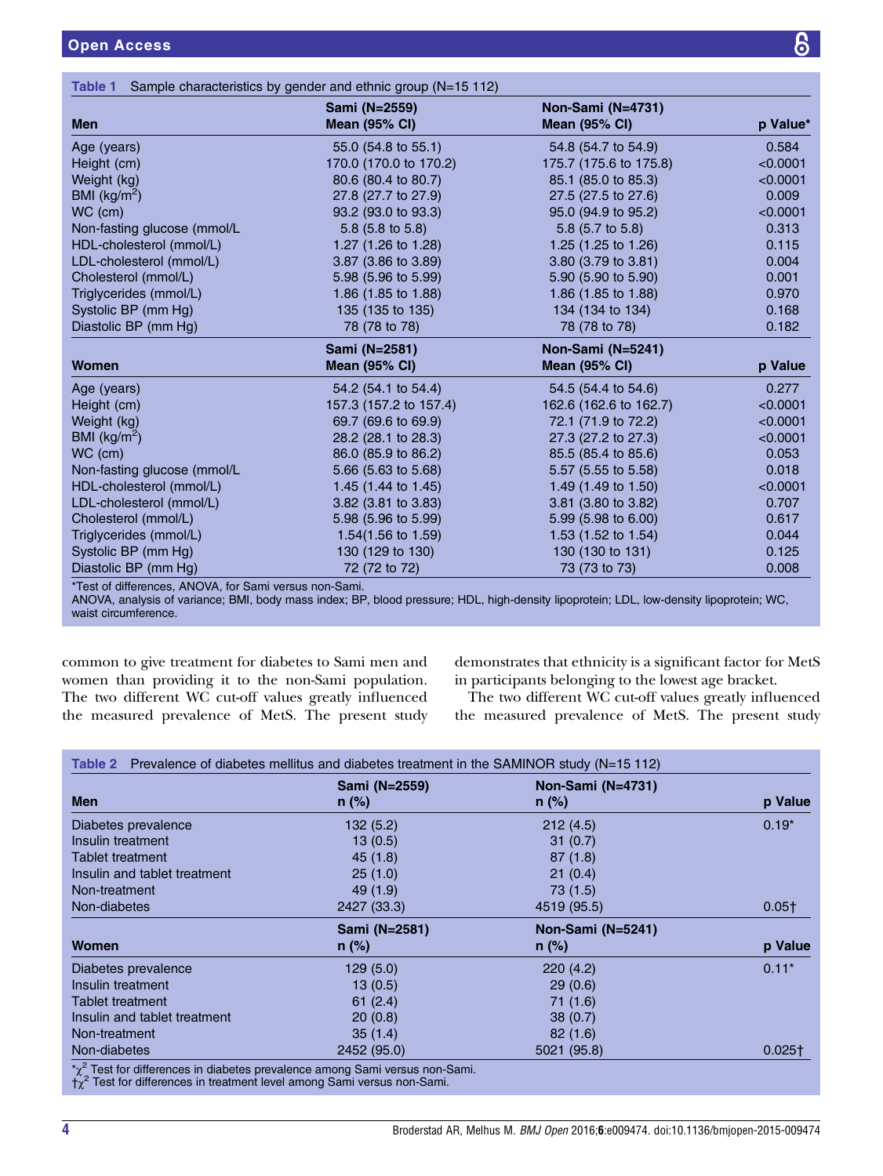<span id="page-3-0"></span>

|                             | Sami (N=2559)                  | Non-Sami (N=4731)      |                   |  |
|-----------------------------|--------------------------------|------------------------|-------------------|--|
| <b>Men</b>                  | <b>Mean (95% CI)</b>           | <b>Mean (95% CI)</b>   | p Value*<br>0.584 |  |
| Age (years)                 | 55.0 (54.8 to 55.1)            | 54.8 (54.7 to 54.9)    |                   |  |
| Height (cm)                 | 170.0 (170.0 to 170.2)         | 175.7 (175.6 to 175.8) | < 0.0001          |  |
| Weight (kg)                 | 80.6 (80.4 to 80.7)            | 85.1 (85.0 to 85.3)    | < 0.0001          |  |
| BMI ( $\text{kg/m}^2$ )     | 27.8 (27.7 to 27.9)            | 27.5 (27.5 to 27.6)    | 0.009             |  |
| WC (cm)                     | 93.2 (93.0 to 93.3)            | 95.0 (94.9 to 95.2)    | < 0.0001          |  |
| Non-fasting glucose (mmol/L | 5.8 $(5.8 \text{ to } 5.8)$    | 5.8 (5.7 to 5.8)       | 0.313             |  |
| HDL-cholesterol (mmol/L)    | 1.27 (1.26 to 1.28)            | 1.25 (1.25 to 1.26)    | 0.115             |  |
| LDL-cholesterol (mmol/L)    | 3.87 (3.86 to 3.89)            | 3.80 (3.79 to 3.81)    | 0.004             |  |
| Cholesterol (mmol/L)        | 5.98 (5.96 to 5.99)            | 5.90 (5.90 to 5.90)    | 0.001             |  |
| Triglycerides (mmol/L)      | 1.86 $(1.85 \text{ to } 1.88)$ | 1.86 (1.85 to 1.88)    | 0.970             |  |
| Systolic BP (mm Hg)         | 135 (135 to 135)               | 134 (134 to 134)       | 0.168             |  |
| Diastolic BP (mm Hg)        | 78 (78 to 78)                  | 78 (78 to 78)          | 0.182             |  |
|                             | Sami (N=2581)                  | Non-Sami (N=5241)      |                   |  |
| Women                       | <b>Mean (95% CI)</b>           | <b>Mean (95% CI)</b>   | p Value           |  |
| Age (years)                 | 54.2 (54.1 to 54.4)            | 54.5 (54.4 to 54.6)    | 0.277             |  |
| Height (cm)                 | 157.3 (157.2 to 157.4)         | 162.6 (162.6 to 162.7) | < 0.0001          |  |
| Weight (kg)                 | 69.7 (69.6 to 69.9)            | 72.1 (71.9 to 72.2)    | < 0.0001          |  |
| BMI ( $\text{kg/m}^2$ )     | 28.2 (28.1 to 28.3)            | 27.3 (27.2 to 27.3)    | < 0.0001          |  |
| WC (cm)                     | 86.0 (85.9 to 86.2)            | 85.5 (85.4 to 85.6)    | 0.053             |  |
| Non-fasting glucose (mmol/L | 5.66 (5.63 to 5.68)            | 5.57 (5.55 to 5.58)    | 0.018             |  |
| HDL-cholesterol (mmol/L)    | 1.45 $(1.44 \text{ to } 1.45)$ | 1.49 (1.49 to 1.50)    | < 0.0001          |  |
| LDL-cholesterol (mmol/L)    | 3.82 (3.81 to 3.83)            | 3.81 (3.80 to 3.82)    | 0.707             |  |
| Cholesterol (mmol/L)        | 5.98 (5.96 to 5.99)            | 5.99 (5.98 to 6.00)    | 0.617             |  |
| Triglycerides (mmol/L)      | $1.54(1.56 \text{ to } 1.59)$  | 1.53 (1.52 to 1.54)    | 0.044             |  |
| Systolic BP (mm Hg)         | 130 (129 to 130)               | 130 (130 to 131)       | 0.125             |  |
|                             |                                |                        |                   |  |

\*Test of differences, ANOVA, for Sami versus non-Sami.

ANOVA, analysis of variance; BMI, body mass index; BP, blood pressure; HDL, high-density lipoprotein; LDL, low-density lipoprotein; WC, waist circumference.

common to give treatment for diabetes to Sami men and women than providing it to the non-Sami population. The two different WC cut-off values greatly influenced the measured prevalence of MetS. The present study

demonstrates that ethnicity is a significant factor for MetS in participants belonging to the lowest age bracket.

The two different WC cut-off values greatly influenced the measured prevalence of MetS. The present study

|                              | Sami (N=2559) | <b>Non-Sami (N=4731)</b> | p Value  |
|------------------------------|---------------|--------------------------|----------|
| Men                          | $n$ (%)       | $n$ (%)                  |          |
| Diabetes prevalence          | 132(5.2)      | 212(4.5)                 | $0.19*$  |
| Insulin treatment            | 13(0.5)       | 31(0.7)                  |          |
| Tablet treatment             | 45(1.8)       | 87(1.8)                  |          |
| Insulin and tablet treatment | 25(1.0)       | 21(0.4)                  |          |
| Non-treatment                | 49 (1.9)      | 73 (1.5)                 |          |
| Non-diabetes                 | 2427 (33.3)   | 4519 (95.5)              | $0.05+$  |
|                              | Sami (N=2581) | Non-Sami (N=5241)        |          |
| Women                        | $n$ (%)       | $n$ (%)                  | p Value  |
| Diabetes prevalence          | 129(5.0)      | 220(4.2)                 | $0.11*$  |
| Insulin treatment            | 13(0.5)       | 29(0.6)                  |          |
| Tablet treatment             | 61(2.4)       | 71(1.6)                  |          |
| Insulin and tablet treatment | 20(0.8)       | 38(0.7)                  |          |
| Non-treatment                | 35(1.4)       | 82(1.6)                  |          |
| Non-diabetes                 | 2452 (95.0)   | 5021 (95.8)              | $0.025+$ |

 $\alpha^2$  Test for differences in diabetes prevalence among Sami versus non-Sami.

 $\dot{\tau_{\chi}}^2$  Test for differences in treatment level among Sami versus non-Sami.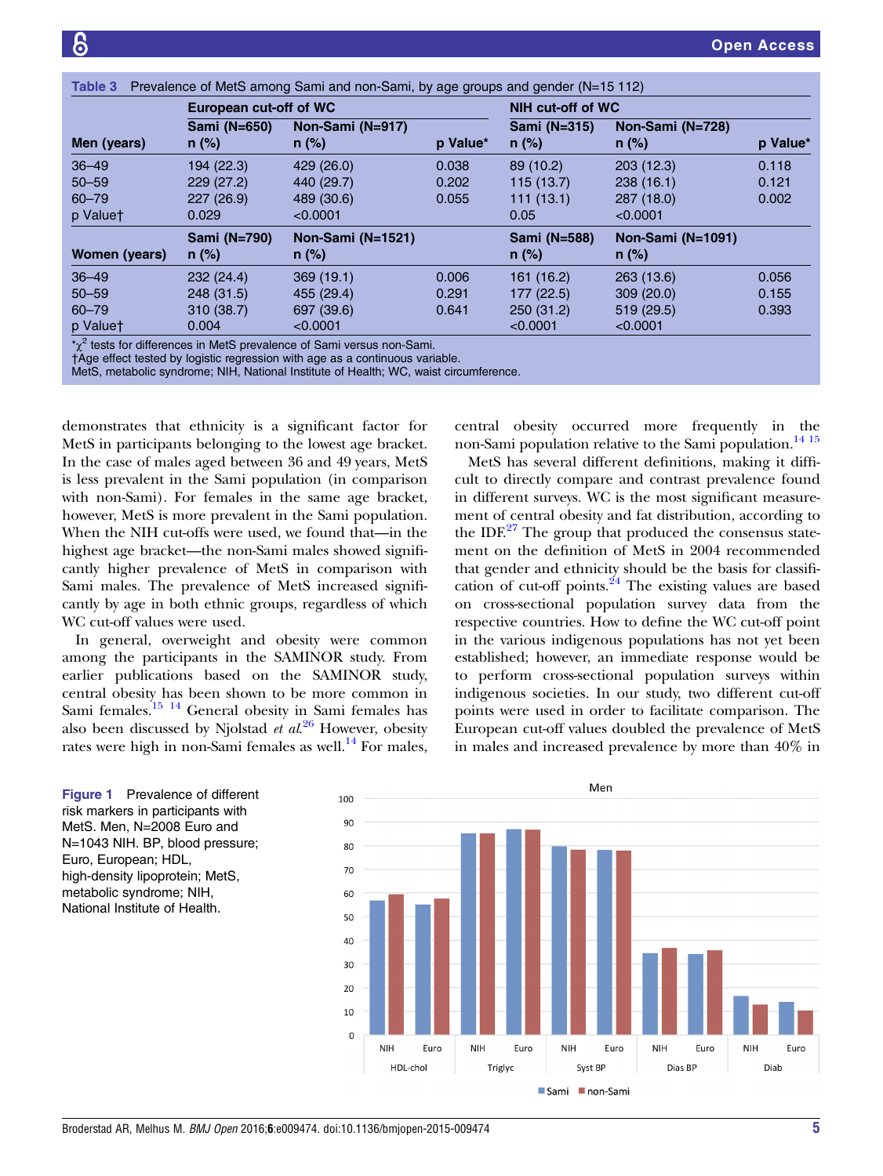<span id="page-4-0"></span>

|               | European cut-off of WC  |                              |          | NIH cut-off of WC       |                              |          |
|---------------|-------------------------|------------------------------|----------|-------------------------|------------------------------|----------|
| Men (years)   | Sami (N=650)<br>$n$ (%) | Non-Sami (N=917)<br>$n$ (%)  | p Value* | Sami (N=315)<br>$n$ (%) | Non-Sami (N=728)<br>$n$ (%)  | p Value* |
| $36 - 49$     | 194 (22.3)              | 429 (26.0)                   | 0.038    | 89 (10.2)               | 203 (12.3)                   | 0.118    |
| $50 - 59$     | 229(27.2)               | 440 (29.7)                   | 0.202    | 115(13.7)               | 238(16.1)                    | 0.121    |
| $60 - 79$     | 227 (26.9)              | 489 (30.6)                   | 0.055    | 111(13.1)               | 287 (18.0)                   | 0.002    |
| p Valuet      | 0.029                   | < 0.0001                     |          | 0.05                    | < 0.0001                     |          |
| Women (years) | Sami (N=790)<br>$n$ (%) | Non-Sami (N=1521)<br>$n$ (%) |          | Sami (N=588)<br>$n$ (%) | Non-Sami (N=1091)<br>$n$ (%) |          |
| $36 - 49$     | 232(24.4)               | 369(19.1)                    | 0.006    | 161 (16.2)              | 263 (13.6)                   | 0.056    |
| $50 - 59$     | 248 (31.5)              | 455 (29.4)                   | 0.291    | 177 (22.5)              | 309(20.0)                    | 0.155    |
| $60 - 79$     | 310 (38.7)              | 697 (39.6)                   | 0.641    | 250 (31.2)              | 519 (29.5)                   | 0.393    |
| p Valuet      | 0.004                   | < 0.0001                     |          | < 0.0001                | < 0.0001                     |          |

 $^2$  tests for differences in MetS prevalence of Sami versus non-Sami.

†Age effect tested by logistic regression with age as a continuous variable.

MetS, metabolic syndrome; NIH, National Institute of Health; WC, waist circumference.

demonstrates that ethnicity is a significant factor for MetS in participants belonging to the lowest age bracket. In the case of males aged between 36 and 49 years, MetS is less prevalent in the Sami population (in comparison with non-Sami). For females in the same age bracket, however, MetS is more prevalent in the Sami population. When the NIH cut-offs were used, we found that—in the highest age bracket—the non-Sami males showed significantly higher prevalence of MetS in comparison with Sami males. The prevalence of MetS increased significantly by age in both ethnic groups, regardless of which WC cut-off values were used.

In general, overweight and obesity were common among the participants in the SAMINOR study. From earlier publications based on the SAMINOR study, central obesity has been shown to be more common in Sami females. $15 \frac{14}{15}$  General obesity in Sami females has also been discussed by Njolstad *et al.* $26$  However, obesity rates were high in non-Sami females as well.<sup>[14](#page-7-0)</sup> For males,

central obesity occurred more frequently in the non-Sami population relative to the Sami population.<sup>[14 15](#page-7-0)</sup>

MetS has several different definitions, making it difficult to directly compare and contrast prevalence found in different surveys. WC is the most significant measurement of central obesity and fat distribution, according to the IDF. $^{27}$  $^{27}$  $^{27}$  The group that produced the consensus statement on the definition of MetS in 2004 recommended that gender and ethnicity should be the basis for classifi-cation of cut-off points.<sup>[24](#page-7-0)</sup> The existing values are based on cross-sectional population survey data from the respective countries. How to define the WC cut-off point in the various indigenous populations has not yet been established; however, an immediate response would be to perform cross-sectional population surveys within indigenous societies. In our study, two different cut-off points were used in order to facilitate comparison. The European cut-off values doubled the prevalence of MetS in males and increased prevalence by more than 40% in



Figure 1 Prevalence of different risk markers in participants with MetS. Men, N=2008 Euro and N=1043 NIH. BP, blood pressure; Euro, European; HDL, high-density lipoprotein; MetS, metabolic syndrome; NIH, National Institute of Health.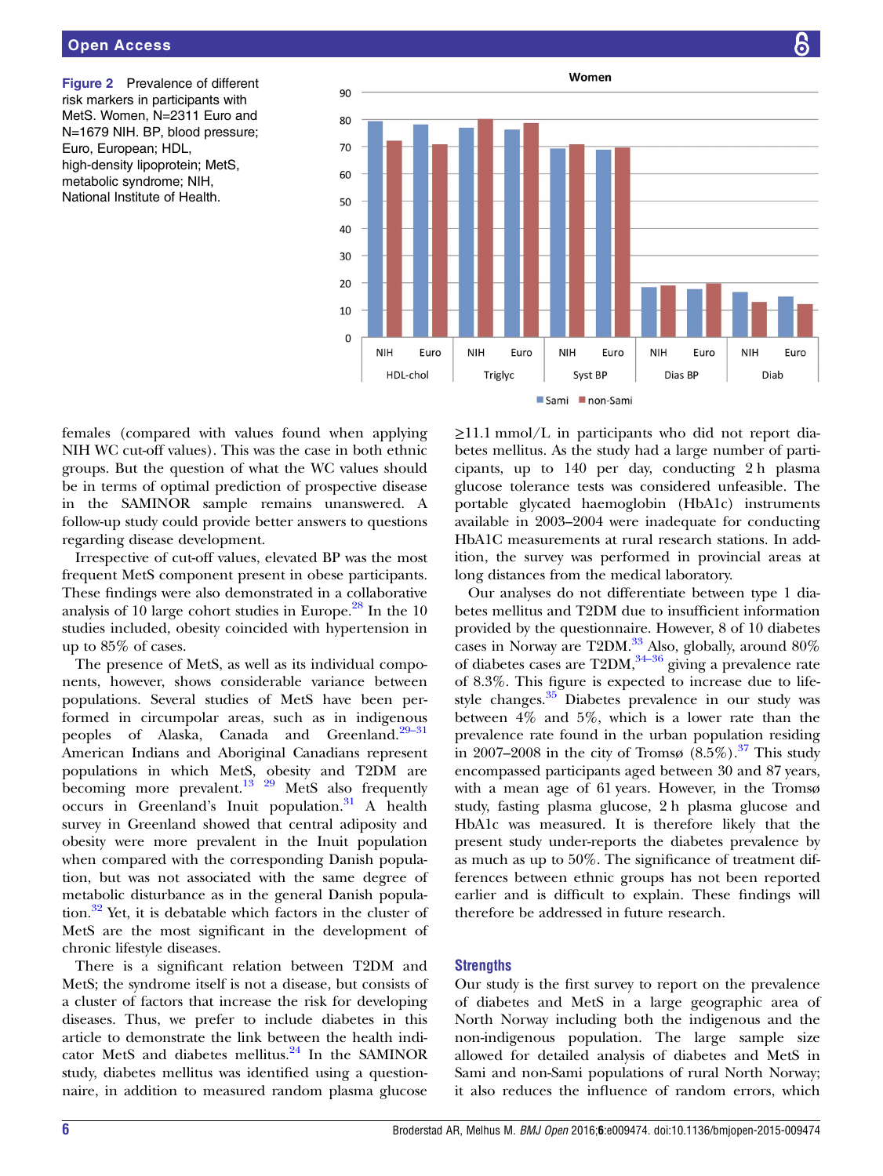<span id="page-5-0"></span>

females (compared with values found when applying NIH WC cut-off values). This was the case in both ethnic groups. But the question of what the WC values should be in terms of optimal prediction of prospective disease in the SAMINOR sample remains unanswered. A follow-up study could provide better answers to questions regarding disease development.

Irrespective of cut-off values, elevated BP was the most frequent MetS component present in obese participants. These findings were also demonstrated in a collaborative analysis of 10 large cohort studies in Europe.<sup>[28](#page-7-0)</sup> In the 10 studies included, obesity coincided with hypertension in up to 85% of cases.

The presence of MetS, as well as its individual components, however, shows considerable variance between populations. Several studies of MetS have been performed in circumpolar areas, such as in indigenous peoples of Alaska, Canada and Greenland.<sup>[29](#page-7-0)–31</sup> American Indians and Aboriginal Canadians represent populations in which MetS, obesity and T2DM are becoming more prevalent.<sup>13</sup>  $^{29}$  MetS also frequently occurs in Greenland's Inuit population.<sup>[31](#page-7-0)</sup> A health survey in Greenland showed that central adiposity and obesity were more prevalent in the Inuit population when compared with the corresponding Danish population, but was not associated with the same degree of metabolic disturbance as in the general Danish population.[32](#page-7-0) Yet, it is debatable which factors in the cluster of MetS are the most significant in the development of chronic lifestyle diseases.

There is a significant relation between T2DM and MetS; the syndrome itself is not a disease, but consists of a cluster of factors that increase the risk for developing diseases. Thus, we prefer to include diabetes in this article to demonstrate the link between the health indi-cator MetS and diabetes mellitus.<sup>[24](#page-7-0)</sup> In the SAMINOR study, diabetes mellitus was identified using a questionnaire, in addition to measured random plasma glucose

≥11.1 mmol/L in participants who did not report diabetes mellitus. As the study had a large number of participants, up to 140 per day, conducting 2 h plasma glucose tolerance tests was considered unfeasible. The portable glycated haemoglobin (HbA1c) instruments available in 2003–2004 were inadequate for conducting HbA1C measurements at rural research stations. In addition, the survey was performed in provincial areas at long distances from the medical laboratory.

Our analyses do not differentiate between type 1 diabetes mellitus and T2DM due to insufficient information provided by the questionnaire. However, 8 of 10 diabetes cases in Norway are T2DM. $^{33}$  $^{33}$  $^{33}$  Also, globally, around 80% of diabetes cases are  $T2DM$ ,  $34-36$  $34-36$  giving a prevalence rate of 8.3%. This figure is expected to increase due to life-style changes.<sup>[35](#page-7-0)</sup> Diabetes prevalence in our study was between 4% and 5%, which is a lower rate than the prevalence rate found in the urban population residing in 2007–2008 in the city of Tromsø  $(8.5\%)$ .<sup>[37](#page-7-0)</sup> This study encompassed participants aged between 30 and 87 years, with a mean age of 61 years. However, in the Tromsø study, fasting plasma glucose, 2 h plasma glucose and HbA1c was measured. It is therefore likely that the present study under-reports the diabetes prevalence by as much as up to 50%. The significance of treatment differences between ethnic groups has not been reported earlier and is difficult to explain. These findings will therefore be addressed in future research.

#### **Strengths**

Our study is the first survey to report on the prevalence of diabetes and MetS in a large geographic area of North Norway including both the indigenous and the non-indigenous population. The large sample size allowed for detailed analysis of diabetes and MetS in Sami and non-Sami populations of rural North Norway; it also reduces the influence of random errors, which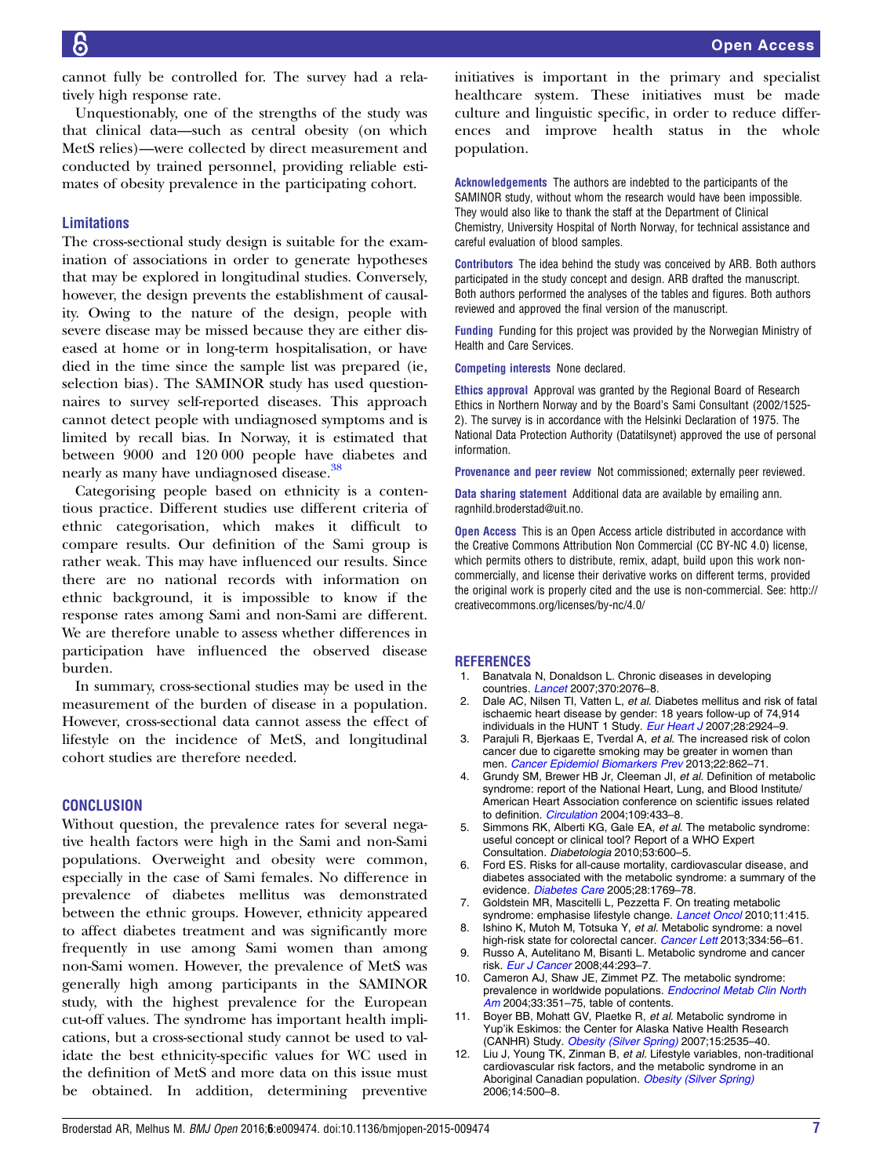<span id="page-6-0"></span>cannot fully be controlled for. The survey had a relatively high response rate.

Unquestionably, one of the strengths of the study was that clinical data—such as central obesity (on which MetS relies)—were collected by direct measurement and conducted by trained personnel, providing reliable estimates of obesity prevalence in the participating cohort.

#### Limitations

The cross-sectional study design is suitable for the examination of associations in order to generate hypotheses that may be explored in longitudinal studies. Conversely, however, the design prevents the establishment of causality. Owing to the nature of the design, people with severe disease may be missed because they are either diseased at home or in long-term hospitalisation, or have died in the time since the sample list was prepared (ie, selection bias). The SAMINOR study has used questionnaires to survey self-reported diseases. This approach cannot detect people with undiagnosed symptoms and is limited by recall bias. In Norway, it is estimated that between 9000 and 120 000 people have diabetes and nearly as many have undiagnosed disease.<sup>[38](#page-7-0)</sup>

Categorising people based on ethnicity is a contentious practice. Different studies use different criteria of ethnic categorisation, which makes it difficult to compare results. Our definition of the Sami group is rather weak. This may have influenced our results. Since there are no national records with information on ethnic background, it is impossible to know if the response rates among Sami and non-Sami are different. We are therefore unable to assess whether differences in participation have influenced the observed disease burden.

In summary, cross-sectional studies may be used in the measurement of the burden of disease in a population. However, cross-sectional data cannot assess the effect of lifestyle on the incidence of MetS, and longitudinal cohort studies are therefore needed.

#### **CONCLUSION**

Without question, the prevalence rates for several negative health factors were high in the Sami and non-Sami populations. Overweight and obesity were common, especially in the case of Sami females. No difference in prevalence of diabetes mellitus was demonstrated between the ethnic groups. However, ethnicity appeared to affect diabetes treatment and was significantly more frequently in use among Sami women than among non-Sami women. However, the prevalence of MetS was generally high among participants in the SAMINOR study, with the highest prevalence for the European cut-off values. The syndrome has important health implications, but a cross-sectional study cannot be used to validate the best ethnicity-specific values for WC used in the definition of MetS and more data on this issue must be obtained. In addition, determining preventive initiatives is important in the primary and specialist healthcare system. These initiatives must be made culture and linguistic specific, in order to reduce differences and improve health status in the whole population.

Acknowledgements The authors are indebted to the participants of the SAMINOR study, without whom the research would have been impossible. They would also like to thank the staff at the Department of Clinical Chemistry, University Hospital of North Norway, for technical assistance and careful evaluation of blood samples.

Contributors The idea behind the study was conceived by ARB. Both authors participated in the study concept and design. ARB drafted the manuscript. Both authors performed the analyses of the tables and figures. Both authors reviewed and approved the final version of the manuscript.

Funding Funding for this project was provided by the Norwegian Ministry of Health and Care Services.

Competing interests None declared.

Ethics approval Approval was granted by the Regional Board of Research Ethics in Northern Norway and by the Board's Sami Consultant (2002/1525- 2). The survey is in accordance with the Helsinki Declaration of 1975. The National Data Protection Authority (Datatilsynet) approved the use of personal information.

Provenance and peer review Not commissioned; externally peer reviewed.

Data sharing statement Additional data are available by emailing ann. ragnhild.broderstad@uit.no.

Open Access This is an Open Access article distributed in accordance with the Creative Commons Attribution Non Commercial (CC BY-NC 4.0) license, which permits others to distribute, remix, adapt, build upon this work noncommercially, and license their derivative works on different terms, provided the original work is properly cited and the use is non-commercial. See: [http://](http://creativecommons.org/licenses/by-nc/4.0/) [creativecommons.org/licenses/by-nc/4.0/](http://creativecommons.org/licenses/by-nc/4.0/)

#### REFERENCES

- 1. Banatvala N, Donaldson L. Chronic diseases in developing countries. [Lancet](http://dx.doi.org/10.1016/S0140-6736(07)61877-7) 2007;370:2076–8.
- Dale AC, Nilsen TI, Vatten L, et al. Diabetes mellitus and risk of fatal ischaemic heart disease by gender: 18 years follow-up of 74,914 individuals in the HUNT 1 Study. [Eur Heart J](http://dx.doi.org/10.1093/eurheartj/ehm447) 2007;28:2924-9.
- 3. Parajuli R, Bjerkaas E, Tverdal A, et al. The increased risk of colon cancer due to cigarette smoking may be greater in women than men. [Cancer Epidemiol Biomarkers Prev](http://dx.doi.org/10.1158/1055-9965.EPI-12-1351) 2013;22:862-71.
- 4. Grundy SM, Brewer HB Jr, Cleeman JI, et al. Definition of metabolic syndrome: report of the National Heart, Lung, and Blood Institute/ American Heart Association conference on scientific issues related to definition. [Circulation](http://dx.doi.org/10.1161/01.CIR.0000111245.75752.C6) 2004;109:433-8.
- 5. Simmons RK, Alberti KG, Gale EA, et al. The metabolic syndrome: useful concept or clinical tool? Report of a WHO Expert Consultation. Diabetologia 2010;53:600–5.
- 6. Ford ES. Risks for all-cause mortality, cardiovascular disease, and diabetes associated with the metabolic syndrome: a summary of the evidence. [Diabetes Care](http://dx.doi.org/10.2337/diacare.28.7.1769) 2005;28:1769-78.
- 7. Goldstein MR, Mascitelli L, Pezzetta F. On treating metabolic syndrome: emphasise lifestyle change. [Lancet Oncol](http://dx.doi.org/10.1016/S1470-2045(10)70055-3) 2010;11:415.
- 8. Ishino K, Mutoh M, Totsuka Y, et al. Metabolic syndrome: a novel high-risk state for colorectal cancer. [Cancer Lett](http://dx.doi.org/10.1016/j.canlet.2012.10.012) 2013;334:56-61.
- 9. Russo A, Autelitano M, Bisanti L. Metabolic syndrome and cancer risk. [Eur J Cancer](http://dx.doi.org/10.1016/j.ejca.2007.11.005) 2008:44:293-7
- 10. Cameron AJ, Shaw JE, Zimmet PZ. The metabolic syndrome: prevalence in worldwide populations. [Endocrinol Metab Clin North](http://dx.doi.org/10.1016/j.ecl.2004.03.005) [Am](http://dx.doi.org/10.1016/j.ecl.2004.03.005) 2004;33:351-75, table of contents.
- 11. Boyer BB, Mohatt GV, Plaetke R, et al. Metabolic syndrome in Yup'ik Eskimos: the Center for Alaska Native Health Research (CANHR) Study. [Obesity \(Silver Spring\)](http://dx.doi.org/10.1038/oby.2007.302) 2007;15:2535-40.
- 12. Liu J, Young TK, Zinman B, et al. Lifestyle variables, non-traditional cardiovascular risk factors, and the metabolic syndrome in an Aboriginal Canadian population. [Obesity \(Silver Spring\)](http://dx.doi.org/10.1038/oby.2006.65) 2006;14:500–8.